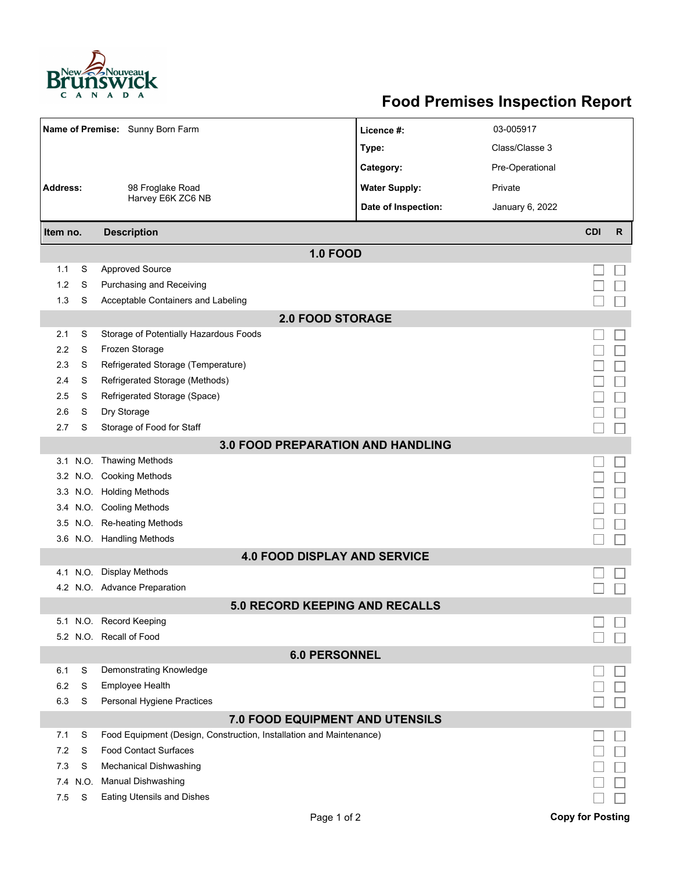

## **Food Premises Inspection Report**

| Name of Premise: Sunny Born Farm         |      |                                                                     | Licence #:           | 03-005917       |            |              |  |  |  |  |
|------------------------------------------|------|---------------------------------------------------------------------|----------------------|-----------------|------------|--------------|--|--|--|--|
|                                          |      |                                                                     | Type:                | Class/Classe 3  |            |              |  |  |  |  |
|                                          |      |                                                                     | Category:            | Pre-Operational |            |              |  |  |  |  |
| <b>Address:</b>                          |      | 98 Froglake Road                                                    | <b>Water Supply:</b> | Private         |            |              |  |  |  |  |
|                                          |      | Harvey E6K ZC6 NB                                                   | Date of Inspection:  | January 6, 2022 |            |              |  |  |  |  |
| Item no.                                 |      | <b>Description</b>                                                  |                      |                 | <b>CDI</b> | $\mathsf{R}$ |  |  |  |  |
|                                          |      | <b>1.0 FOOD</b>                                                     |                      |                 |            |              |  |  |  |  |
| 1.1                                      | S    | <b>Approved Source</b>                                              |                      |                 |            |              |  |  |  |  |
| 1.2                                      | S    | Purchasing and Receiving                                            |                      |                 |            |              |  |  |  |  |
| 1.3                                      | S    | Acceptable Containers and Labeling                                  |                      |                 |            |              |  |  |  |  |
|                                          |      | <b>2.0 FOOD STORAGE</b>                                             |                      |                 |            |              |  |  |  |  |
| 2.1                                      | S    | Storage of Potentially Hazardous Foods                              |                      |                 |            |              |  |  |  |  |
| 2.2                                      | S    | Frozen Storage                                                      |                      |                 |            |              |  |  |  |  |
| 2.3                                      | S    | Refrigerated Storage (Temperature)                                  |                      |                 |            |              |  |  |  |  |
| 2.4                                      | S    | Refrigerated Storage (Methods)                                      |                      |                 |            |              |  |  |  |  |
| 2.5                                      | S    | Refrigerated Storage (Space)                                        |                      |                 |            |              |  |  |  |  |
| 2.6                                      | S    | Dry Storage                                                         |                      |                 |            |              |  |  |  |  |
| 2.7                                      | S    | Storage of Food for Staff                                           |                      |                 |            |              |  |  |  |  |
| <b>3.0 FOOD PREPARATION AND HANDLING</b> |      |                                                                     |                      |                 |            |              |  |  |  |  |
|                                          |      | 3.1 N.O. Thawing Methods                                            |                      |                 |            |              |  |  |  |  |
|                                          |      | 3.2 N.O. Cooking Methods                                            |                      |                 |            |              |  |  |  |  |
|                                          |      | 3.3 N.O. Holding Methods                                            |                      |                 |            |              |  |  |  |  |
|                                          |      | 3.4 N.O. Cooling Methods                                            |                      |                 |            |              |  |  |  |  |
|                                          |      | 3.5 N.O. Re-heating Methods                                         |                      |                 |            |              |  |  |  |  |
|                                          |      | 3.6 N.O. Handling Methods                                           |                      |                 |            |              |  |  |  |  |
|                                          |      | <b>4.0 FOOD DISPLAY AND SERVICE</b>                                 |                      |                 |            |              |  |  |  |  |
|                                          |      | 4.1 N.O. Display Methods                                            |                      |                 |            |              |  |  |  |  |
|                                          |      | 4.2 N.O. Advance Preparation                                        |                      |                 |            |              |  |  |  |  |
|                                          |      | <b>5.0 RECORD KEEPING AND RECALLS</b>                               |                      |                 |            |              |  |  |  |  |
|                                          |      | 5.1 N.O. Record Keeping                                             |                      |                 |            |              |  |  |  |  |
|                                          |      | 5.2 N.O. Recall of Food                                             |                      |                 |            |              |  |  |  |  |
| <b>6.0 PERSONNEL</b>                     |      |                                                                     |                      |                 |            |              |  |  |  |  |
| 6.1                                      | S    | Demonstrating Knowledge                                             |                      |                 |            |              |  |  |  |  |
| 6.2                                      | S    | Employee Health                                                     |                      |                 |            |              |  |  |  |  |
| 6.3                                      | S    | Personal Hygiene Practices                                          |                      |                 |            |              |  |  |  |  |
| 7.0 FOOD EQUIPMENT AND UTENSILS          |      |                                                                     |                      |                 |            |              |  |  |  |  |
| 7.1                                      | S    | Food Equipment (Design, Construction, Installation and Maintenance) |                      |                 |            |              |  |  |  |  |
| 7.2                                      | S    | <b>Food Contact Surfaces</b>                                        |                      |                 |            |              |  |  |  |  |
| 7.3                                      | S    | Mechanical Dishwashing                                              |                      |                 |            |              |  |  |  |  |
| 7.4                                      | N.O. | <b>Manual Dishwashing</b>                                           |                      |                 |            |              |  |  |  |  |
| 7.5                                      | S    | <b>Eating Utensils and Dishes</b>                                   |                      |                 |            |              |  |  |  |  |